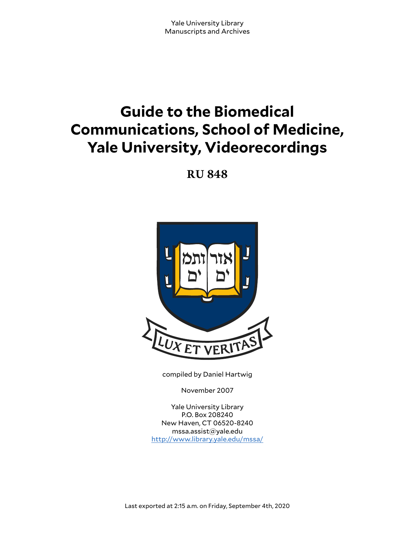# **Guide to the Biomedical Communications, School of Medicine, Yale University, Videorecordings**

**RU 848**



compiled by Daniel Hartwig

November 2007

Yale University Library P.O. Box 208240 New Haven, CT 06520-8240 mssa.assist@yale.edu <http://www.library.yale.edu/mssa/>

Last exported at 2:15 a.m. on Friday, September 4th, 2020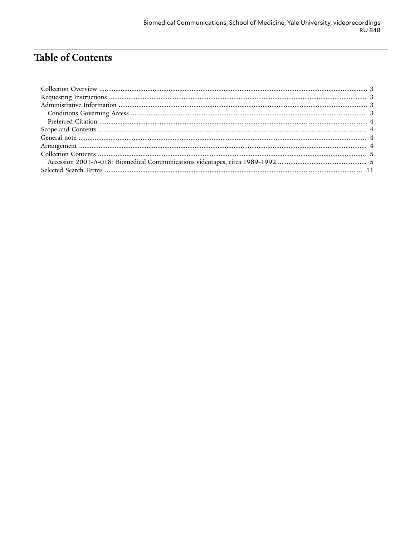# Table of Contents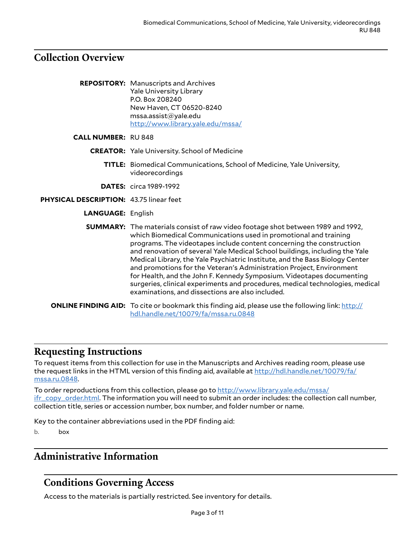#### <span id="page-2-0"></span>**Collection Overview**

|                                                | <b>REPOSITORY:</b> Manuscripts and Archives<br><b>Yale University Library</b><br>P.O. Box 208240<br>New Haven, CT 06520-8240<br>mssa.assist@yale.edu<br>http://www.library.yale.edu/mssa/                                                                                                                                                                                                                                                                                                                                                                                                                                                                                               |
|------------------------------------------------|-----------------------------------------------------------------------------------------------------------------------------------------------------------------------------------------------------------------------------------------------------------------------------------------------------------------------------------------------------------------------------------------------------------------------------------------------------------------------------------------------------------------------------------------------------------------------------------------------------------------------------------------------------------------------------------------|
| <b>CALL NUMBER: RU 848</b>                     |                                                                                                                                                                                                                                                                                                                                                                                                                                                                                                                                                                                                                                                                                         |
|                                                | <b>CREATOR:</b> Yale University. School of Medicine                                                                                                                                                                                                                                                                                                                                                                                                                                                                                                                                                                                                                                     |
|                                                | <b>TITLE:</b> Biomedical Communications, School of Medicine, Yale University,<br>videorecordings                                                                                                                                                                                                                                                                                                                                                                                                                                                                                                                                                                                        |
|                                                | <b>DATES:</b> circa 1989-1992                                                                                                                                                                                                                                                                                                                                                                                                                                                                                                                                                                                                                                                           |
| <b>PHYSICAL DESCRIPTION: 43.75 linear feet</b> |                                                                                                                                                                                                                                                                                                                                                                                                                                                                                                                                                                                                                                                                                         |
| <b>LANGUAGE: English</b>                       |                                                                                                                                                                                                                                                                                                                                                                                                                                                                                                                                                                                                                                                                                         |
|                                                | <b>SUMMARY:</b> The materials consist of raw video footage shot between 1989 and 1992,<br>which Biomedical Communications used in promotional and training<br>programs. The videotapes include content concerning the construction<br>and renovation of several Yale Medical School buildings, including the Yale<br>Medical Library, the Yale Psychiatric Institute, and the Bass Biology Center<br>and promotions for the Veteran's Administration Project, Environment<br>for Health, and the John F. Kennedy Symposium. Videotapes documenting<br>surgeries, clinical experiments and procedures, medical technologies, medical<br>examinations, and dissections are also included. |
|                                                | <b>ONLINE FINDING AID:</b> To cite or bookmark this finding aid, please use the following link: http://<br>hdl.handle.net/10079/fa/mssa.ru.0848                                                                                                                                                                                                                                                                                                                                                                                                                                                                                                                                         |

#### <span id="page-2-1"></span>**Requesting Instructions**

To request items from this collection for use in the Manuscripts and Archives reading room, please use the request links in the HTML version of this finding aid, available at [http://hdl.handle.net/10079/fa/](http://hdl.handle.net/10079/fa/mssa.ru.0848) [mssa.ru.0848.](http://hdl.handle.net/10079/fa/mssa.ru.0848)

To order reproductions from this collection, please go to [http://www.library.yale.edu/mssa/](http://www.library.yale.edu/mssa/ifr_copy_order.html) [ifr\\_copy\\_order.html.](http://www.library.yale.edu/mssa/ifr_copy_order.html) The information you will need to submit an order includes: the collection call number, collection title, series or accession number, box number, and folder number or name.

Key to the container abbreviations used in the PDF finding aid:

b. box

#### <span id="page-2-2"></span>**Administrative Information**

## <span id="page-2-3"></span>**Conditions Governing Access**

Access to the materials is partially restricted. See inventory for details.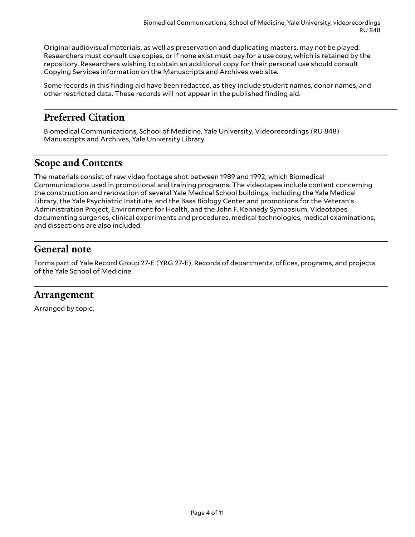Original audiovisual materials, as well as preservation and duplicating masters, may not be played. Researchers must consult use copies, or if none exist must pay for a use copy, which is retained by the repository. Researchers wishing to obtain an additional copy for their personal use should consult Copying Services information on the Manuscripts and Archives web site.

Some records in this finding aid have been redacted, as they include student names, donor names, and other restricted data. These records will not appear in the published finding aid.

## <span id="page-3-0"></span>**Preferred Citation**

Biomedical Communications, School of Medicine, Yale University, Videorecordings (RU 848) Manuscripts and Archives, Yale University Library.

#### <span id="page-3-1"></span>**Scope and Contents**

The materials consist of raw video footage shot between 1989 and 1992, which Biomedical Communications used in promotional and training programs. The videotapes include content concerning the construction and renovation of several Yale Medical School buildings, including the Yale Medical Library, the Yale Psychiatric Institute, and the Bass Biology Center and promotions for the Veteran's Administration Project, Environment for Health, and the John F. Kennedy Symposium. Videotapes documenting surgeries, clinical experiments and procedures, medical technologies, medical examinations, and dissections are also included.

#### <span id="page-3-2"></span>**General note**

Forms part of Yale Record Group 27-E (YRG 27-E), Records of departments, offices, programs, and projects of the Yale School of Medicine.

#### <span id="page-3-3"></span>**Arrangement**

Arranged by topic.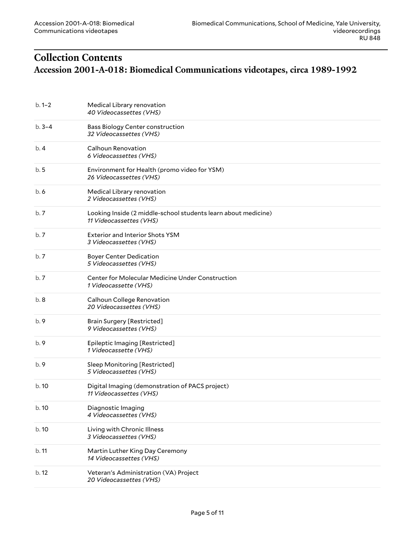# <span id="page-4-1"></span><span id="page-4-0"></span>**Collection Contents Accession 2001-A-018: Biomedical Communications videotapes, circa 1989-1992**

| $b.1-2$   | Medical Library renovation<br>40 Videocassettes (VHS)                                     |
|-----------|-------------------------------------------------------------------------------------------|
| $b.3 - 4$ | Bass Biology Center construction<br>32 Videocassettes (VHS)                               |
| b.4       | Calhoun Renovation<br>6 Videocassettes (VHS)                                              |
| b.5       | Environment for Health (promo video for YSM)<br>26 Videocassettes (VHS)                   |
| b.6       | Medical Library renovation<br>2 Videocassettes (VHS)                                      |
| b.7       | Looking Inside (2 middle-school students learn about medicine)<br>11 Videocassettes (VHS) |
| b.7       | <b>Exterior and Interior Shots YSM</b><br>3 Videocassettes (VHS)                          |
| b.7       | <b>Boyer Center Dedication</b><br>5 Videocassettes (VHS)                                  |
| b.7       | Center for Molecular Medicine Under Construction<br>1 Videocassette (VHS)                 |
| b.8       | Calhoun College Renovation<br>20 Videocassettes (VHS)                                     |
| b.9       | <b>Brain Surgery [Restricted]</b><br>9 Videocassettes (VHS)                               |
| b.9       | Epileptic Imaging [Restricted]<br>1 Videocassette (VHS)                                   |
| b.9       | Sleep Monitoring [Restricted]<br>5 Videocassettes (VHS)                                   |
| b. 10     | Digital Imaging (demonstration of PACS project)<br>11 Videocassettes (VHS)                |
| b. 10     | Diagnostic Imaging<br>4 Videocassettes (VHS)                                              |
| b.10      | Living with Chronic Illness<br>3 Videocassettes (VHS)                                     |
| b.11      | Martin Luther King Day Ceremony<br>14 Videocassettes (VHS)                                |
| b.12      | Veteran's Administration (VA) Project<br>20 Videocassettes (VHS)                          |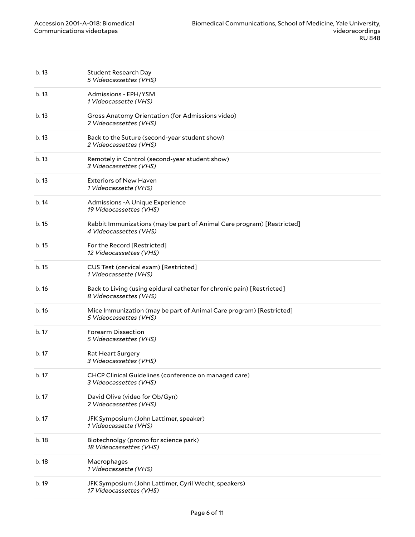| b.13  | <b>Student Research Day</b><br>5 Videocassettes (VHS)                                            |
|-------|--------------------------------------------------------------------------------------------------|
| b. 13 | Admissions - EPH/YSM<br>1 Videocassette (VHS)                                                    |
| b.13  | Gross Anatomy Orientation (for Admissions video)<br>2 Videocassettes (VHS)                       |
| b.13  | Back to the Suture (second-year student show)<br>2 Videocassettes (VHS)                          |
| b.13  | Remotely in Control (second-year student show)<br>3 Videocassettes (VHS)                         |
| b.13  | <b>Exteriors of New Haven</b><br>1 Videocassette (VHS)                                           |
| b.14  | Admissions - A Unique Experience<br>19 Videocassettes (VHS)                                      |
| b. 15 | Rabbit Immunizations (may be part of Animal Care program) [Restricted]<br>4 Videocassettes (VHS) |
| b. 15 | For the Record [Restricted]<br>12 Videocassettes (VHS)                                           |
| b. 15 | CUS Test (cervical exam) [Restricted]<br>1 Videocassette (VHS)                                   |
| b.16  | Back to Living (using epidural catheter for chronic pain) [Restricted]<br>8 Videocassettes (VHS) |
| b.16  | Mice Immunization (may be part of Animal Care program) [Restricted]<br>5 Videocassettes (VHS)    |
| b.17  | Forearm Dissection<br>5 Videocassettes (VHS)                                                     |
| b. 17 | Rat Heart Surgery<br>3 Videocassettes (VHS)                                                      |
| b. 17 | CHCP Clinical Guidelines (conference on managed care)<br>3 Videocassettes (VHS)                  |
| b. 17 | David Olive (video for Ob/Gyn)<br>2 Videocassettes (VHS)                                         |
| b.17  | JFK Symposium (John Lattimer, speaker)<br>1 Videocassette (VHS)                                  |
| b. 18 | Biotechnolgy (promo for science park)<br>18 Videocassettes (VHS)                                 |
| b. 18 | Macrophages<br>1 Videocassette (VHS)                                                             |
| b. 19 | JFK Symposium (John Lattimer, Cyril Wecht, speakers)<br>17 Videocassettes (VHS)                  |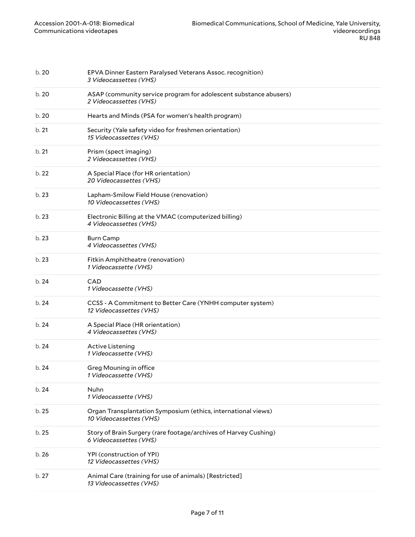| b.20  | EPVA Dinner Eastern Paralysed Veterans Assoc. recognition)<br>3 Videocassettes (VHS)        |
|-------|---------------------------------------------------------------------------------------------|
| b.20  | ASAP (community service program for adolescent substance abusers)<br>2 Videocassettes (VHS) |
| b.20  | Hearts and Minds (PSA for women's health program)                                           |
| b. 21 | Security (Yale safety video for freshmen orientation)<br>15 Videocassettes (VHS)            |
| b.21  | Prism (spect imaging)<br>2 Videocassettes (VHS)                                             |
| b.22  | A Special Place (for HR orientation)<br>20 Videocassettes (VHS)                             |
| b.23  | Lapham-Smilow Field House (renovation)<br>10 Videocassettes (VHS)                           |
| b.23  | Electronic Billing at the VMAC (computerized billing)<br>4 Videocassettes (VHS)             |
| b.23  | <b>Burn Camp</b><br>4 Videocassettes (VHS)                                                  |
| b.23  | Fitkin Amphitheatre (renovation)<br>1 Videocassette (VHS)                                   |
| b. 24 | CAD<br>1 Videocassette (VHS)                                                                |
| b.24  | CCSS - A Commitment to Better Care (YNHH computer system)<br>12 Videocassettes (VHS)        |
| b.24  | A Special Place (HR orientation)<br>4 Videocassettes (VHS)                                  |
| b.24  | Active Listening<br>1 Videocassette (VHS)                                                   |
| b.24  | Greg Mouning in office<br>1 Videocassette (VHS)                                             |
| b.24  | Nuhn<br>1 Videocassette (VHS)                                                               |
| b.25  | Organ Transplantation Symposium (ethics, international views)<br>10 Videocassettes (VHS)    |
| b.25  | Story of Brain Surgery (rare footage/archives of Harvey Cushing)<br>6 Videocassettes (VHS)  |
| b.26  | YPI (construction of YPI)<br>12 Videocassettes (VHS)                                        |
| b.27  | Animal Care (training for use of animals) [Restricted]<br>13 Videocassettes (VHS)           |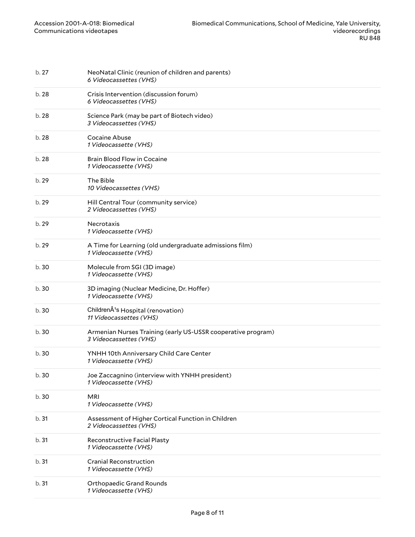| b. 27 | NeoNatal Clinic (reunion of children and parents)<br>6 Videocassettes (VHS)            |
|-------|----------------------------------------------------------------------------------------|
| b.28  | Crisis Intervention (discussion forum)<br>6 Videocassettes (VHS)                       |
| b. 28 | Science Park (may be part of Biotech video)<br>3 Videocassettes (VHS)                  |
| b. 28 | Cocaine Abuse<br>1 Videocassette (VHS)                                                 |
| b. 28 | Brain Blood Flow in Cocaine<br>1 Videocassette (VHS)                                   |
| b.29  | The Bible<br>10 Videocassettes (VHS)                                                   |
| b. 29 | Hill Central Tour (community service)<br>2 Videocassettes (VHS)                        |
| b. 29 | Necrotaxis<br>1 Videocassette (VHS)                                                    |
| b.29  | A Time for Learning (old undergraduate admissions film)<br>1 Videocassette (VHS)       |
| b.30  | Molecule from SGI (3D image)<br>1 Videocassette (VHS)                                  |
| b.30  | 3D imaging (Nuclear Medicine, Dr. Hoffer)<br>1 Videocassette (VHS)                     |
| b.30  | ChildrenÂ <sup>1</sup> s Hospital (renovation)<br>11 Videocassettes (VHS)              |
| b.30  | Armenian Nurses Training (early US-USSR cooperative program)<br>3 Videocassettes (VHS) |
| b. 30 | YNHH 10th Anniversary Child Care Center<br>1 Videocassette (VHS)                       |
| b.30  | Joe Zaccagnino (interview with YNHH president)<br>1 Videocassette (VHS)                |
| b.30  | <b>MRI</b><br>1 Videocassette (VHS)                                                    |
| b.31  | Assessment of Higher Cortical Function in Children<br>2 Videocassettes (VHS)           |
| b.31  | Reconstructive Facial Plasty<br>1 Videocassette (VHS)                                  |
| b.31  | <b>Cranial Reconstruction</b><br>1 Videocassette (VHS)                                 |
| b.31  | Orthopaedic Grand Rounds<br>1 Videocassette (VHS)                                      |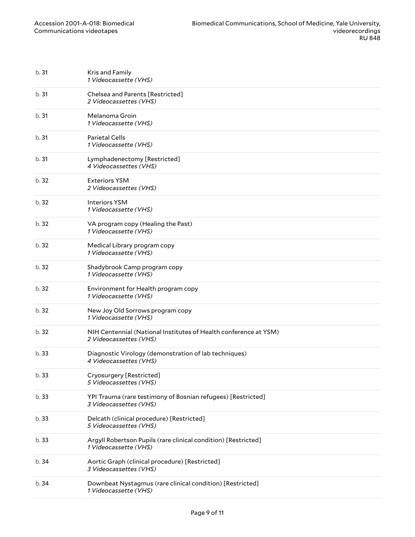| b.31  | Kris and Family<br>1 Videocassette (VHS)                                                   |
|-------|--------------------------------------------------------------------------------------------|
| b.31  | Chelsea and Parents [Restricted]<br>2 Videocassettes (VHS)                                 |
| b.31  | Melanoma Groin<br>1 Videocassette (VHS)                                                    |
| b.31  | <b>Parietal Cells</b><br>1 Videocassette (VHS)                                             |
| b.31  | Lymphadenectomy [Restricted]<br>4 Videocassettes (VHS)                                     |
| b.32  | <b>Exteriors YSM</b><br>2 Videocassettes (VHS)                                             |
| b.32  | <b>Interiors YSM</b><br>1 Videocassette (VHS)                                              |
| b.32  | VA program copy (Healing the Past)<br>1 Videocassette (VHS)                                |
| b.32  | Medical Library program copy<br>1 Videocassette (VHS)                                      |
| b.32  | Shadybrook Camp program copy<br>1 Videocassette (VHS)                                      |
| b. 32 | Environment for Health program copy<br>1 Videocassette (VHS)                               |
| b.32  | New Joy Old Sorrows program copy<br>1 Videocassette (VHS)                                  |
| b.32  | NIH Centennial (National Institutes of Health conference at YSM)<br>2 Videocassettes (VHS) |
| b.33  | Diagnostic Virology (demonstration of lab techniques)<br>4 Videocassettes (VHS)            |
| b. 33 | Cryosurgery [Restricted]<br>5 Videocassettes (VHS)                                         |
| b.33  | YPI Trauma (rare testimony of Bosnian refugees) [Restricted]<br>3 Videocassettes (VHS)     |
| b.33  | Delcath (clinical procedure) [Restricted]<br>5 Videocassettes (VHS)                        |
| b.33  | Argyll Robertson Pupils (rare clinical condition) [Restricted]<br>1 Videocassette (VHS)    |
| b. 34 | Aortic Graph (clinical procedure) [Restricted]<br>3 Videocassettes (VHS)                   |
| b.34  | Downbeat Nystagmus (rare clinical condition) [Restricted]<br>1 Videocassette (VHS)         |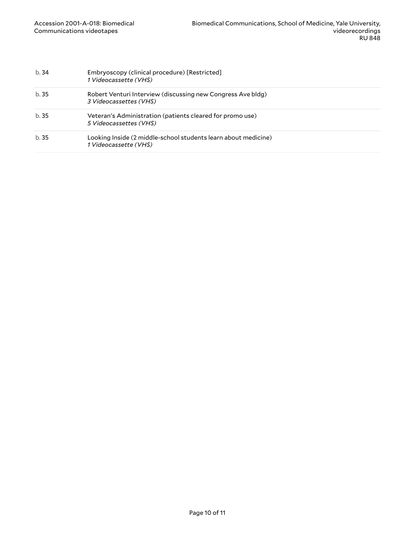| b.34  | Embryoscopy (clinical procedure) [Restricted]<br>1 Videocassette (VHS)                  |
|-------|-----------------------------------------------------------------------------------------|
| b. 35 | Robert Venturi Interview (discussing new Congress Ave bldg)<br>3 Videocassettes (VHS)   |
| b. 35 | Veteran's Administration (patients cleared for promo use)<br>5 Videocassettes (VHS)     |
| b.35  | Looking Inside (2 middle-school students learn about medicine)<br>1 Videocassette (VHS) |